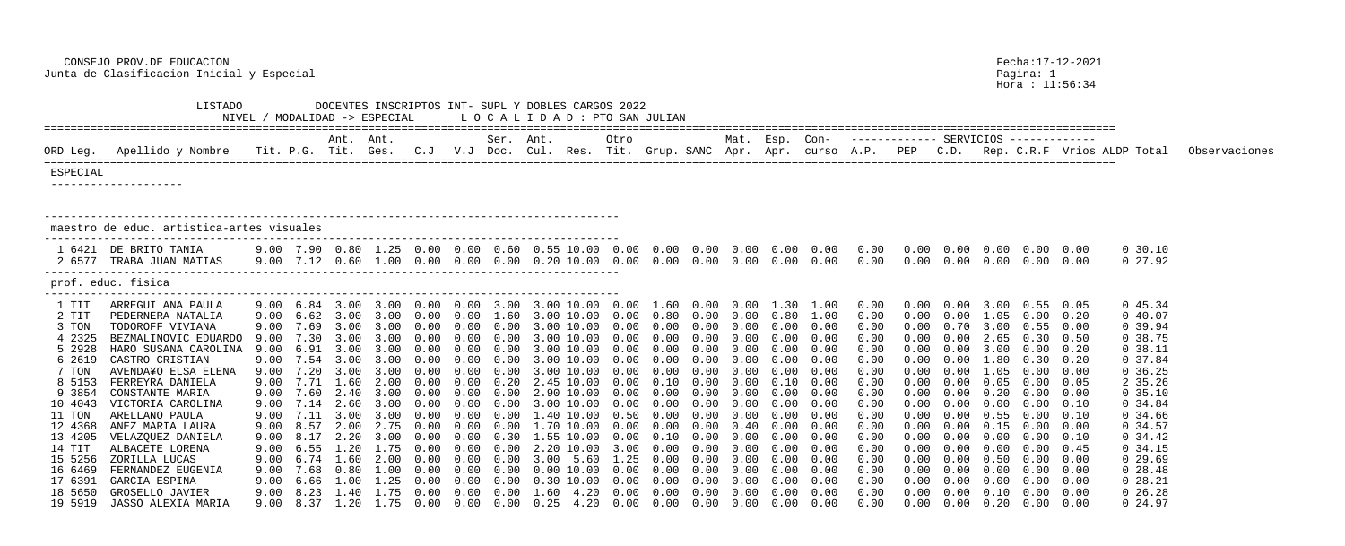Hora : 11:56:34

| DOCENTES INSCRIPTOS INT- SUPL Y DOBLES CARGOS 2022<br>LISTADO<br>LOCALIDAD: PTO SAN JULIAN<br>NIVEL / MODALIDAD -> ESPECIAL |                                                                                                                                                                                                         |                                                              |                                                                |                                                   |                                                                                                                                                       |                                                       |              |           |                                                                                                                                                                                                                                                                                                                                                                                                                                                                                                                  |                                      |              |                                                  |                |              |                                                                      |                                                                              |                                                         |                                                    |                      |                                                                                                                                                                                                                                                                                         |                                                                      |                                                                                                                            |               |
|-----------------------------------------------------------------------------------------------------------------------------|---------------------------------------------------------------------------------------------------------------------------------------------------------------------------------------------------------|--------------------------------------------------------------|----------------------------------------------------------------|---------------------------------------------------|-------------------------------------------------------------------------------------------------------------------------------------------------------|-------------------------------------------------------|--------------|-----------|------------------------------------------------------------------------------------------------------------------------------------------------------------------------------------------------------------------------------------------------------------------------------------------------------------------------------------------------------------------------------------------------------------------------------------------------------------------------------------------------------------------|--------------------------------------|--------------|--------------------------------------------------|----------------|--------------|----------------------------------------------------------------------|------------------------------------------------------------------------------|---------------------------------------------------------|----------------------------------------------------|----------------------|-----------------------------------------------------------------------------------------------------------------------------------------------------------------------------------------------------------------------------------------------------------------------------------------|----------------------------------------------------------------------|----------------------------------------------------------------------------------------------------------------------------|---------------|
|                                                                                                                             |                                                                                                                                                                                                         |                                                              |                                                                | Ant. Ant.                                         |                                                                                                                                                       |                                                       |              | Ser. Ant. |                                                                                                                                                                                                                                                                                                                                                                                                                                                                                                                  | Otro                                 |              |                                                  | Mat. Esp. Con- |              |                                                                      |                                                                              |                                                         |                                                    |                      |                                                                                                                                                                                                                                                                                         |                                                                      |                                                                                                                            |               |
| ORD Leg.                                                                                                                    | Apellido y Nombre                                                                                                                                                                                       |                                                              |                                                                |                                                   |                                                                                                                                                       |                                                       |              |           |                                                                                                                                                                                                                                                                                                                                                                                                                                                                                                                  |                                      |              |                                                  |                |              |                                                                      |                                                                              |                                                         |                                                    |                      |                                                                                                                                                                                                                                                                                         |                                                                      | Tit. P.G. Tit. Ges.  C.J  V.J Doc. Cul. Res. Tit. Grup. SANC Apr. Apr. curso A.P.  PEP  C.D.  Rep. C.R.F  Vrios ALDP Total | Observaciones |
| ESPECIAL                                                                                                                    |                                                                                                                                                                                                         |                                                              |                                                                |                                                   |                                                                                                                                                       |                                                       |              |           |                                                                                                                                                                                                                                                                                                                                                                                                                                                                                                                  |                                      |              |                                                  |                |              |                                                                      |                                                                              |                                                         |                                                    |                      |                                                                                                                                                                                                                                                                                         |                                                                      |                                                                                                                            |               |
|                                                                                                                             | maestro de educ. artistica-artes visuales                                                                                                                                                               |                                                              |                                                                |                                                   |                                                                                                                                                       |                                                       |              |           |                                                                                                                                                                                                                                                                                                                                                                                                                                                                                                                  |                                      |              |                                                  |                |              |                                                                      |                                                                              |                                                         |                                                    |                      |                                                                                                                                                                                                                                                                                         |                                                                      |                                                                                                                            |               |
|                                                                                                                             | 1 6421 DE BRITO TANIA<br>2 6577 TRABA JUAN MATIAS                                                                                                                                                       |                                                              |                                                                |                                                   |                                                                                                                                                       |                                                       |              |           | $9.00$ $7.12$ $0.60$ $1.00$ $0.00$ $0.00$ $0.00$ $0.20$ $10.00$ $0.00$                                                                                                                                                                                                                                                                                                                                                                                                                                           |                                      |              |                                                  |                |              | $0.00 \quad 0.00 \quad 0.00 \quad 0.00 \quad 0.00$                   | 0.00                                                                         | $0.00$ $0.00$ $0.00$ $0.00$ $0.00$ $0.00$<br>$0\,.\,00$ | $0\,.\,00$                                         |                      | $0.00\quad 0.00\quad 0.00$                                                                                                                                                                                                                                                              |                                                                      | $0\,30.10$<br>0 27.92                                                                                                      |               |
|                                                                                                                             | prof. educ. fisica                                                                                                                                                                                      |                                                              |                                                                |                                                   |                                                                                                                                                       |                                                       |              |           |                                                                                                                                                                                                                                                                                                                                                                                                                                                                                                                  |                                      |              |                                                  |                |              |                                                                      |                                                                              |                                                         |                                                    |                      |                                                                                                                                                                                                                                                                                         |                                                                      |                                                                                                                            |               |
| 1 TIT<br>2 TIT<br>3 TON<br>4 2325<br>5 2928<br>6 2619<br>7 TON<br>8 5153<br>9 3854                                          | ARREGUI ANA PAULA<br>PEDERNERA NATALIA<br>TODOROFF VIVIANA<br>BEZMALINOVIC EDUARDO<br>HARO SUSANA CAROLINA<br>CASTRO CRISTIAN<br>AVENDA¥O ELSA ELENA<br>FERREYRA DANIELA<br>CONSTANTE MARIA             | 9.00<br>9.00<br>9.00<br>9.00<br>9.00<br>9.00<br>9.00<br>9.00 | 9.00 6.84 3.00<br>6.62<br>7.69<br>6.91<br>7.54<br>7.20<br>7.71 | 3.00<br>3.00<br>3.00<br>3.00<br>1.60<br>7.60 2.40 | 3.00<br>3.00<br>3.00<br>3.00<br>3.00<br>2.00<br>3.00                                                                                                  | (1.00)<br>0.00<br>n nn<br>$(1 \t1)$<br>(1.00)<br>0.00 | 0.00<br>0.00 | 1.60      | 3.00 10.00 0.00<br>3.00 10.00<br>10.00<br>10.00<br>$\mathcal{B}$ , $\mathcal{O}(\mathcal{C})$<br>10.00<br>2.45 10.00<br>2.90 10.00                                                                                                                                                                                                                                                                                                                                                                               | 0.00<br>0.00<br>0.00<br>0.00<br>0.00 | 0.80<br>0.00 | 1.60  0.00  0.00<br>0.00<br>0.00<br>0.00<br>0.00 | 0.00           | 1.30<br>0.80 | 1.00<br>1.00<br>0.00<br>0.00<br>0.00<br>0.00<br>0.00<br>0.00<br>0.00 | 0.00<br>0.00<br>0.00<br>0.00<br>0.00<br>0.00<br>0.00<br>0.00<br>0.00         |                                                         | 0.70<br>0.00                                       | 3.00<br>1.05<br>3.00 | 0.55<br>0.00<br>0.55<br>0.30<br>0.00<br>0.30<br>0.00                                                                                                                                                                                                                                    | 0.05<br>0.20<br>0.00<br>0.50<br>0.20<br>0.20<br>0.00<br>0.05<br>0.00 | 045.34<br>$0\,40.07$<br>0.39.94<br>0 38.75<br>0.38.11<br>0, 37.84<br>0, 36.25<br>2 35.26<br>0, 35.10                       |               |
| 10 4043<br>11 TON<br>12 4368<br>13 4205<br>14 TIT<br>15 5256<br>16 6469<br>17 6391<br>19 5919                               | VICTORIA CAROLINA<br>ARELLANO PAULA<br>ANEZ MARIA LAURA<br>VELAZQUEZ DANIELA<br>ALBACETE LORENA<br>ZORILLA LUCAS<br>FERNANDEZ EUGENIA<br>GARCIA ESPINA<br>18 5650 GROSELLO JAVIER<br>JASSO ALEXIA MARIA |                                                              |                                                                |                                                   | $9.00 \quad 7.14 \quad 2.60 \quad 3.00$<br>$9.00 \quad 6.55 \quad 1.20 \quad 1.75 \quad 0.00$<br>9.00 7.68 0.80 1.00 0.00<br>9.00 6.66 1.00 1.25 0.00 | 0.00                                                  | 0.00         |           | 3.00 10.00<br>9.00 7.11 3.00 3.00 0.00 0.00 0.00 1.40 10.00 0.50 0.00 0.00 0.00 0.00 0.00<br>$0.00$ $0.00$ $2.20$ $10.00$ $3.00$ $0.00$ $0.00$ $0.00$<br>9.00 6.74 1.60 2.00 0.00 0.00 0.00 3.00 5.60 1.25 0.00 0.00 0.00 0.00 0.00<br>$0.00$ $0.00$ $0.00$ $10.00$ $0.00$ $0.00$ $0.00$ $0.00$ $0.00$ $0.00$<br>$0.00$ $0.00$ $0.30$ $10.00$ $0.00$<br>9.00 8.23 1.40 1.75 0.00 0.00 0.00 1.60 4.20 0.00 0.00 0.00 0.00 0.00 0.00<br>9.00 8.37 1.20 1.75 0.00 0.00 0.00 0.25 4.20 0.00 0.00 0.00 0.00 0.00 0.00 | 0.00                                 | 0.00         | 0.00<br>$0.00$ $0.00$ $0.00$                     | 0.00           | 0.00         | 0.00<br>$0.00 \quad 0.00$<br>0.00                                    | 0.00<br>0.00<br>0.00<br>0.00<br>0.00<br>0.00<br>0.00<br>0.00<br>0.00<br>0.00 | $0\,.\,00$<br>0.00<br>$0\,.\,00$<br>0.00<br>0.00        | 0.00<br>0.00<br>$0\,.\,00$<br>0.00<br>0.00<br>0.00 | 0.00<br>0.00         | 0.00<br>$0.55$ $0.00$ $0.10$<br>$0.00$ $0.00$ $0.15$ $0.00$ $0.00$<br>$0.00$ $0.00$ $0.10$<br>$0.00 \t 0.00 \t 0.45$<br>$0.00 \t 0.50 \t 0.00 \t 0.00$<br>$0.00 \quad 0.00 \quad 0.00$<br>$0.00 \quad 0.00$<br>$0.00$ $0.00$ $0.10$ $0.00$ $0.00$<br>$0.00$ $0.00$ $0.20$ $0.00$ $0.00$ | 0.10                                                                 | 0.34.84<br>0, 34.66<br>0.34.57<br>$0\,34.42$<br>0.34.15<br>0, 29.69<br>$0\;28.48$<br>0 28.21<br>$0\ 26.28$<br>$0\,24.97$   |               |

 CONSEJO PROV.DE EDUCACION Fecha:17-12-2021 Junta de Clasificacion Inicial y Especial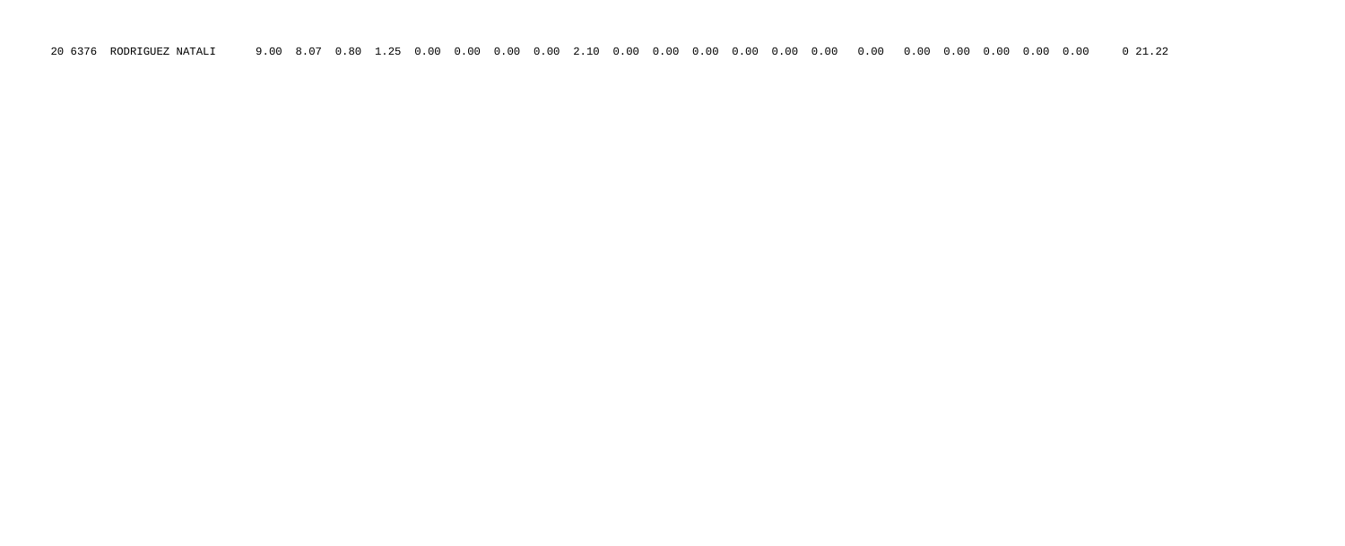20 6376 RODRIGUEZ NATALI 9.00 8.07 0.80 1.25 0.00 0.00 0.00 0.00 2.10 0.00 0.00 0.00 0.00 0.00 0.00 0.00 0.00 0.00 0.00 0.00 0.00 0 21.22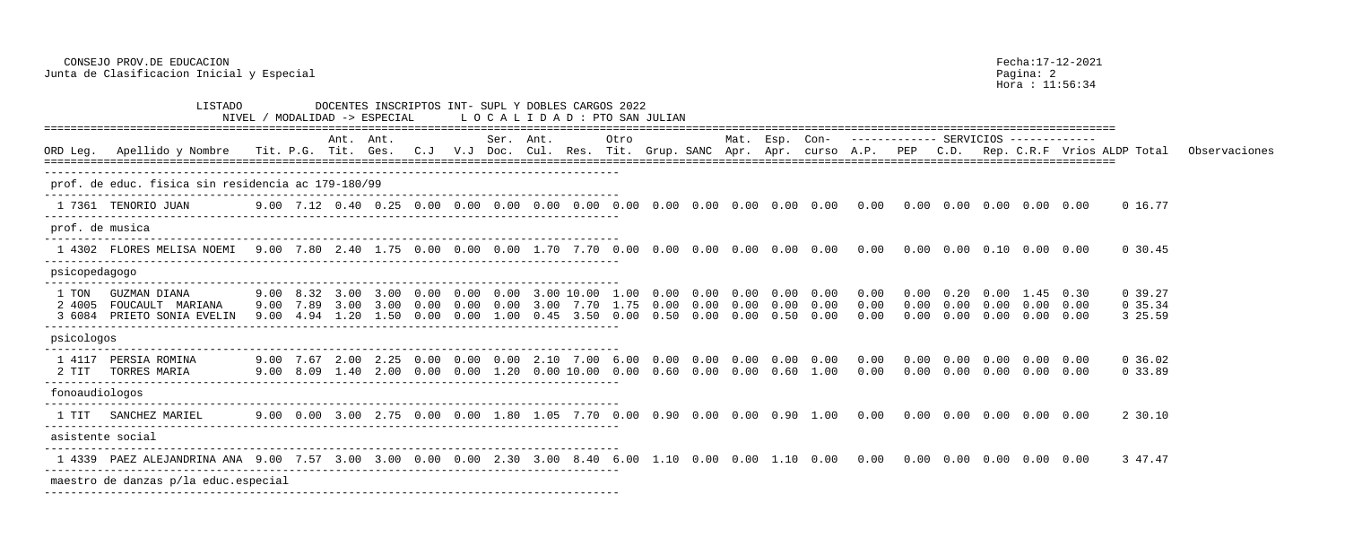CONSEJO PROV.DE EDUCACION Fecha:17-12-2021

Junta de Clasificacion Inicial y Especial experience establece en la pagina: 2 Hora : 11:56:34 LISTADO DOCENTES INSCRIPTOS INT- SUPL Y DOBLES CARGOS 2022 NIVEL / MODALIDAD -> ESPECIAL L O C A L I D A D : PTO SAN JULIAN ================================================================================================================================================================== Ant. Ant. Ser. Ant. Otro Mat. Esp. Con- ------------- SERVICIOS ------------- ORD Leg. Apellido y Nombre Tit. P.G. Tit. Ges. C.J V.J Doc. Cul. Res. Tit. Grup. SANC Apr. Apr. curso A.P. PEP C.D. Rep. C.R.F Vrios ALDP Total Observaciones ================================================================================================================================================================== -------------------------------------------------------------------------------------- prof. de educ. fisica sin residencia ac 179-180/99 --------------------------------------------------------------------------------------- 1 7361 TENORIO JUAN 9.00 7.12 0.40 0.25 0.00 0.00 0.00 0.00 0.00 0.00 0.00 0.00 0.00 0.00 0.00 0.00 0.00 0.00 0.00 0.00 0.00 0 16.77 -------------------------------------------------------------------------------------- prof. de musica --------------------------------------------------------------------------------------- 1 4302 FLORES MELISA NOEMI 9.00 7.80 2.40 1.75 0.00 0.00 0.00 1.70 7.70 0.00 0.00 0.00 0.00 0.00 0.00 0.00 0.00 0.00 0.10 0.00 0.00 0 30.45 -------------------------------------------------------------------------------------- psicopedagogo --------------------------------------------------------------------------------------- 1 TON GUZMAN DIANA 9.00 8.32 3.00 3.00 0.00 0.00 0.00 3.00 10.00 1.00 0.00 0.00 0.00 0.00 0.00 0.00 0.00 0.20 0.00 1.45 0.30 0 39.27 2 4005 FOUCAULT MARIANA 9.00 7.89 3.00 3.00 0.00 0.00 0.00 3.00 7.70 1.75 0.00 0.00 0.00 0.00 0.00 0.00 0.00 0.00 0.00 0.00 0.00 0 35.34 3 6084 PRIETO SONIA EVELIN 9.00 4.94 1.20 1.50 0.00 0.00 1.00 0.45 3.50 0.00 0.50 0.00 0.00 0.50 0.00 0.00 0.00 0.00 0.00 0.00 0.00 3 25.59 -------------------------------------------------------------------------------------- psicologos --------------------------------------------------------------------------------------- 1 4117 PERSIA ROMINA 9.00 7.67 2.00 2.25 0.00 0.00 0.00 2.10 7.00 6.00 0.00 0.00 0.00 0.00 0.00 0.00 0.00 0.00 0.00 0.00 0.00 0 36.02 2 TIT TORRES MARIA 9.00 8.09 1.40 2.00 0.00 0.00 1.20 0.00 10.00 0.00 0.60 0.00 0.00 0.60 1.00 0.00 0.00 0.00 0.00 0.00 0.00 0 33.89 -------------------------------------------------------------------------------------- fonoaudiologos --------------------------------------------------------------------------------------- 1 TIT SANCHEZ MARIEL 9.00 0.00 3.00 2.75 0.00 0.00 1.80 1.05 7.70 0.00 0.90 0.00 0.00 0.90 1.00 0.00 0.00 0.00 0.00 0.00 0.00 2 30.10 -------------------------------------------------------------------------------------- asistente social --------------------------------------------------------------------------------------- 1 4339 PAEZ ALEJANDRINA ANA 9.00 7.57 3.00 3.00 0.00 0.00 2.30 3.00 8.40 6.00 1.10 0.00 0.00 1.10 0.00 0.00 0.00 0.00 0.00 0.00 0.00 3 47.47 -------------------------------------------------------------------------------------- maestro de danzas p/la educ.especial ---------------------------------------------------------------------------------------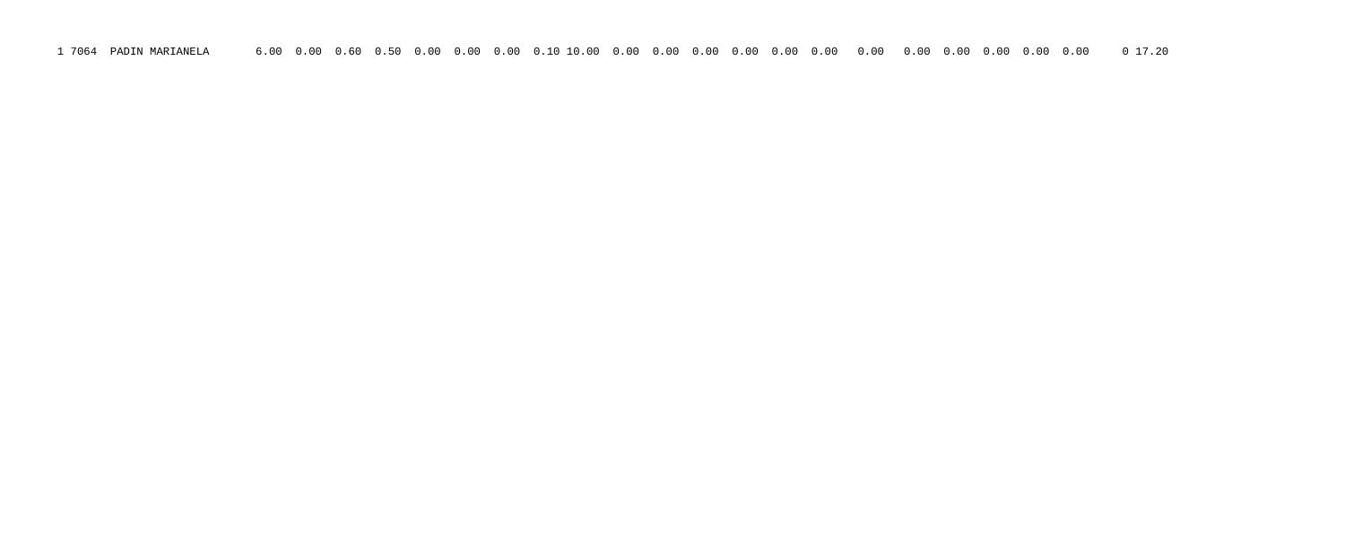1 7064 PADIN MARIANELA 6.00 0.00 0.60 0.50 0.00 0.00 0.00 0.10 10.00 0.00 0.00 0.00 0.00 0.00 0.00 0.00 0.00 0.00 0.00 0.00 0.00 0 17.20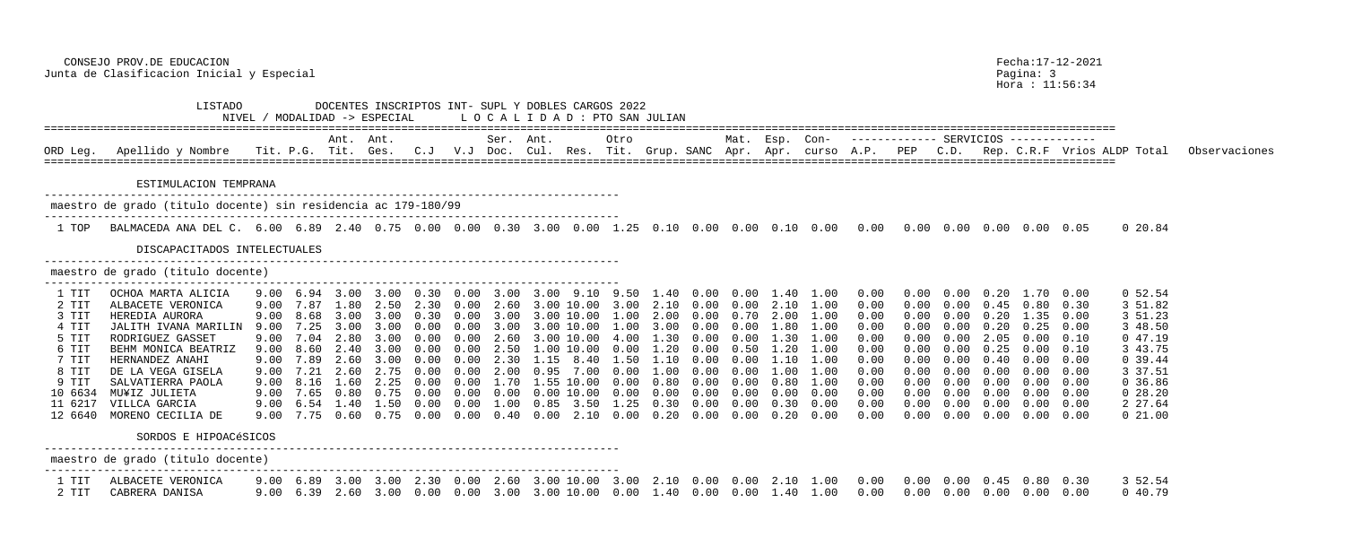Hora : 11:56:34

| <b>∠∪∠∠</b>                                                                      | SAN JULIAN                                                                                   |                                                                                              |                                                                                              |                                                                                              |                                                                                              |                                                                                              |                                                                                              |                                                                                              |                                                                                              |                                                                                              |                                                                                              |                                                                                                                                 |      |
|----------------------------------------------------------------------------------|----------------------------------------------------------------------------------------------|----------------------------------------------------------------------------------------------|----------------------------------------------------------------------------------------------|----------------------------------------------------------------------------------------------|----------------------------------------------------------------------------------------------|----------------------------------------------------------------------------------------------|----------------------------------------------------------------------------------------------|----------------------------------------------------------------------------------------------|----------------------------------------------------------------------------------------------|----------------------------------------------------------------------------------------------|----------------------------------------------------------------------------------------------|---------------------------------------------------------------------------------------------------------------------------------|------|
| ro<br>t.                                                                         | Grup. SANC                                                                                   |                                                                                              | Mat.<br>Apr.                                                                                 | Esp.<br>Apr.                                                                                 | $Con-$<br>curso                                                                              | A.P.                                                                                         | PEP                                                                                          | SERVICIOS<br>C.D.                                                                            |                                                                                              |                                                                                              |                                                                                              | Rep. C.R.F Vrios ALDP Total                                                                                                     | Obs6 |
| .25                                                                              | 0.10                                                                                         | 0.00                                                                                         | 0.00                                                                                         | 0.10                                                                                         | 0.00                                                                                         | 0.00                                                                                         | 0.00                                                                                         | 0.00                                                                                         | 0.00                                                                                         | 0.00                                                                                         | 0.05                                                                                         | 0 20.84                                                                                                                         |      |
| .50<br>.00<br>.00<br>.00<br>.00<br>.00<br>.50<br>.00<br>.00<br>.00<br>.25<br>.00 | 1.40<br>2.10<br>2.00<br>3.00<br>1.30<br>1.20<br>1.10<br>1.00<br>0.80<br>0.00<br>0.30<br>0.20 | 0.00<br>0.00<br>0.00<br>0.00<br>0.00<br>0.00<br>0.00<br>0.00<br>0.00<br>0.00<br>0.00<br>0.00 | 0.00<br>0.00<br>0.70<br>0.00<br>0.00<br>0.50<br>0.00<br>0.00<br>0.00<br>0.00<br>0.00<br>0.00 | 1.40<br>2.10<br>2.00<br>1.80<br>1.30<br>1.20<br>1.10<br>1.00<br>0.80<br>0.00<br>0.30<br>0.20 | 1.00<br>1.00<br>1.00<br>1.00<br>1.00<br>1.00<br>1.00<br>1.00<br>1.00<br>0.00<br>0.00<br>0.00 | 0.00<br>0.00<br>0.00<br>0.00<br>0.00<br>0.00<br>0.00<br>0.00<br>0.00<br>0.00<br>0.00<br>0.00 | 0.00<br>0.00<br>0.00<br>0.00<br>0.00<br>0.00<br>0.00<br>0.00<br>0.00<br>0.00<br>0.00<br>0.00 | 0.00<br>0.00<br>0.00<br>0.00<br>0.00<br>0.00<br>0.00<br>0.00<br>0.00<br>0.00<br>0.00<br>0.00 | 0.20<br>0.45<br>0.20<br>0.20<br>2.05<br>0.25<br>0.40<br>0.00<br>0.00<br>0.00<br>0.00<br>0.00 | 1.70<br>0.80<br>1.35<br>0.25<br>0.00<br>0.00<br>0.00<br>0.00<br>0.00<br>0.00<br>0.00<br>0.00 | 0.00<br>0.30<br>0.00<br>0.00<br>0.10<br>0.10<br>0.00<br>0.00<br>0.00<br>0.00<br>0.00<br>0.00 | 0, 52.54<br>3 51.82<br>3 51.23<br>3 48.50<br>047.19<br>3 43.75<br>0.39.44<br>3 37.51<br>0, 36.86<br>028.20<br>2 27.64<br>021.00 |      |

 CONSEJO PROV.DE EDUCACION Fecha:17-12-2021 Junta de Clasificacion Inicial y Especial entre establece en la pagina: 3

 LISTADO DOCENTES INSCRIPTOS INT- SUPL Y DOBLES CARGOS 2022  $NIVEL / MODALIDAD -> ESPECIAL$  LOCALIDAD -> ESPECIAL LOCALIDAD + PTO ================================================================================================================================================================== Ant. Ant. Ser. Ant. Otro Mat. Esp. Con- ------------- SERVICIOS ------------- ORD Leg. Apellido y Nombre Tit. P.G. Tit. Ges. C.J V.J Doc. Cul. Res. Tit. Grup. SANC Apr. Apr. curso A.P. PEP C.D. Rep. C.R.F Vrios ALDP Total Observaciones ================================================================================================================================================================== ESTIMULACION TEMPRANA -------------------------------------------------------------------------------------- maestro de grado (titulo docente) sin residencia ac 179-180/99 --------------------------------------------------------------------------------------- 1 TOP BALMACEDA ANA DEL C. 6.00 6.89 2.40 0.75 0.00 0.00 0.30 3.00 0.00 1 DISCAPACITADOS INTELECTUALES -------------------------------------------------------------------------------------- maestro de grado (titulo docente) --------------------------------------------------------------------------------------- 1 TIT OCHOA MARTA ALICIA 9.00 6.94 3.00 3.00 0.30 0.00 3.00 3.00 9.10 9.50 1.40 0.00 0.00 1.40 1.00 0.00 0.00 0.00 0.20 1.70 0.00 0 52.54 2 TIT ALBACETE VERONICA 9.00 7.87 1.80 2.50 2.30 0.00 2.60 3.00 10.00 3.00 2.10 0.00 0.00 2.10 1.00 0.00 0.00 0.00 0.45 0.80 0.30 3 51.82 3 TIT HEREDIA AURORA 9.00 8.68 3.00 3.00 0.30 0.00 3.00 3.00 10.00 4 TIT JALITH IVANA MARILIN 9.00 7.25 3.00 3.00 0.00 0.00 3.00 3.00 10.00<br>5 TIT RODRIGUEZ GASSET 9.00 7.04 2.80 3.00 0.00 0.00 2.60 3.00 10.00 5 TIT RODRIGUEZ GASSET 9.00 7.04 2.80 3.00 0.00 0.00 2.60 3.00 10.00 6 TIT BEHM MONICA BEATRIZ 9.00 8.60 2.40 3.00 0.00 0.00 2.50 1.00 10.00 0.00 1.20 0.00 0.50 1.20 1.00 0.00 0.00 0.00 0.25 0.00 0.10 3 43.75 7 TIT HERNANDEZ ANAHI 9.00 7.89 2.60 3.00 0.00 0.00 2.30 1.15 8.40 1.50 1.10 0.00 0.00 1.10 1.00 0.00 0.00 0.00 0.40 0.00 0.00 0 39.44 8 TIT DE LA VEGA GISELA 9.00 7.21 2.60 2.75 0.00 0.00 2.00 0.95 7.00 0. 9 TIT SALVATIERRA PAOLA 9.00 8.16 1.60 2.25 0.00 0.00 1.70 1.55 10.00 0. 10 6634 MU¥IZ JULIETA 9.00 7.65 0.80 0.75 0.00 0.00 0.00 0.00 10.00 0.00 0.00 0.00 0.00 0.00 0.00 0.00 0.00 0.00 0.00 0.00 0.00 0 28.20 11 6217 VILLCA GARCIA 9.00 6.54 1.40 1.50 0.00 0.00 1.00 0.85 3.50 1 12 6640 MORENO CECILIA DE 9.00 7.75 0.60 0.75 0.00 0.00 0.40 0.00 2.10 0.00 0.20 0.00 0.00 0.20 0.00 0.00 0.00 0.00 0.00 0.00 0.00 0 21.00 SORDOS E HIPOACéSICOS -------------------------------------------------------------------------------------- maestro de grado (titulo docente) --------------------------------------------------------------------------------------- 1 TIT ALBACETE VERONICA 9.00 6.89 3.00 3.00 2.30 0.00 2.60 3.00 10.00 3.00 2.10 0.00 0.00 2.10 1.00 0.00 0.00 0.00 0.45 0.80 0.30 3 52.54 2 TIT CABRERA DANISA 9.00 6.39 2.60 3.00 0.00 0.00 3.00 3.00 10.00 0.00 1.40 0.00 0.00 1.40 1.00 0.00 0.00 0.00 0.00 0.00 0.00 0 40.79